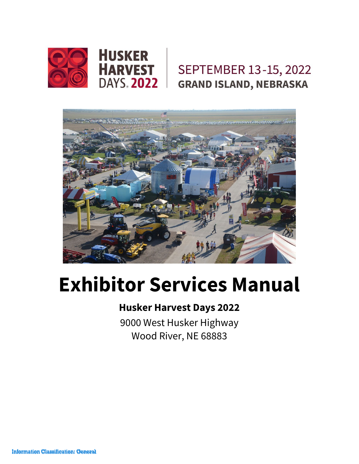

## SEPTEMBER 13-15, 2022 **GRAND ISLAND, NEBRASKA**



# **Exhibitor Services Manual**

### **Husker Harvest Days 2022**

9000 West Husker Highway Wood River, NE 68883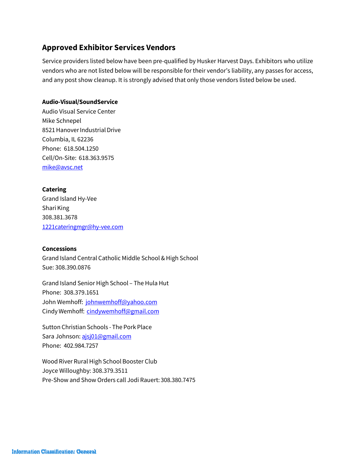#### **Approved Exhibitor Services Vendors**

Service providers listed below have been pre-qualified by Husker Harvest Days. Exhibitors who utilize vendors who are not listed below will be responsible for their vendor's liability, any passes for access, and any post show cleanup. It is strongly advised that only those vendors listed below be used.

#### **Audio-Visual/SoundService**

Audio Visual Service Center Mike Schnepel 8521 Hanover Industrial Drive Columbia, IL 62236 Phone: 618.504.1250 Cell/On-Site: 618.363.9575 [mi](mailto:mike@avsc.net)[ke@avsc.net](mailto:ke@avsc.net)

#### **Catering**

Grand Island Hy-Vee Shari King 308.381.3678 [1221cateringmgr@hy-vee.com](mailto:1221cateringmgr@hy-vee.com)

#### **Concessions**

Grand Island Central Catholic Middle School &High School Sue: 308.390.0876

Grand Island Senior High School – The Hula Hut Phone: 308.379.1651 John Wemhoff: [johnwemhoff@yahoo.com](mailto:johnwemhoff@yahoo.com) Cindy Wemhoff: [cindywemhoff@gmail.com](mailto:cindywemhoff@gmail.com)

Sutton Christian Schools - The Pork Place Sara Johnson[: ajsj01@gmail.com](mailto:ajsj01@gmail.com) Phone: 402.984.7257

Wood River Rural High School Booster Club Joyce Willoughby: 308.379.3511 Pre-Show and Show Orders call Jodi Rauert: 308.380.7475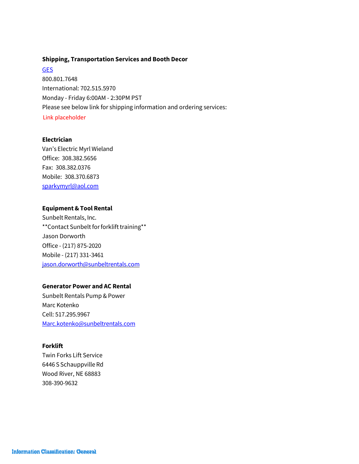#### **Shipping, Transportation Services and Booth Decor**

**GES** 800.801.7648 International: 702.515.5970 Monday - Friday 6:00AM - 2:30PM PST Please see below link for shipping information and ordering services: Link placeholder

#### **Electrician**

Van's Electric Myrl Wieland Office: 308.382.5656 Fax: 308.382.0376 Mobile: 308.370.6873 [sparkymyrl@aol.com](mailto:sparkymyrl@aol.com)

#### **Equipment &Tool Rental**

Sunbelt Rentals, Inc. \*\*Contact Sunbelt for forklift training\*\* Jason Dorworth Office - (217) 875-2020 Mobile - (217) 331-3461 [jason.dorworth@sunbeltrentals.com](mailto:jason.dorworth@sunbeltrentals.com)

#### **Generator Power and AC Rental**

Sunbelt Rentals Pump & Power Marc Kotenko Cell: 517.295.9967 [Marc.kotenko@sunbeltrentals.com](mailto:Marc.kotenko@sunbeltrentals.com)

#### **Forklift**

Twin Forks Lift Service 6446 S Schauppville Rd Wood River, NE 68883 308-390-9632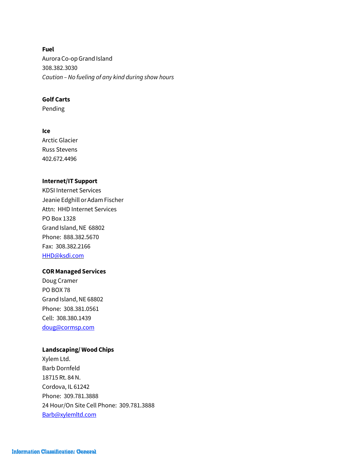**Fuel** AuroraCo-opGrand Island 308.382.3030 *Caution – No fueling of any kind during show hours*

#### **Golf Carts**

Pending

#### **Ice**

Arctic Glacier Russ Stevens 402.672.4496

#### <span id="page-3-0"></span>**Internet/IT Support**

KDSI Internet Services Jeanie Edghill or Adam Fischer Attn: HHD Internet Services PO Box 1328 Grand Island, NE 68802 Phone: 888.382.5670 Fax: 308.382.2166 [HHD@k](#page-3-0)[sdi.com](mailto:HHD@ksdi.com)

#### **CORManaged Services**

Doug Cramer PO BOX 78 Grand Island, NE 68802 Phone: 308.381.0561 Cell: 308.380.1439 [doug@cormsp.com](mailto:doug@cormsp.com)

#### **Landscaping/ Wood Chips**

Xylem Ltd. Barb Dornfeld 18715 Rt. 84N. Cordova, IL 61242 Phone: 309.781.3888 24 Hour/On Site Cell Phone: 309.781.3888 Barb@x[ylemltd.com](mailto:Barb@xylemltd.com)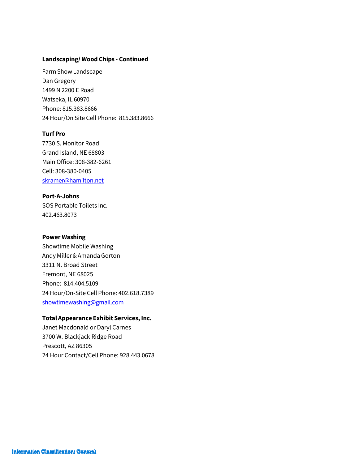#### **Landscaping/ Wood Chips - Continued**

FarmShowLandscape Dan Gregory 1499 N 2200 E Road Watseka, IL 60970 Phone: 815.383.8666 24 Hour/On Site Cell Phone: 815.383.8666

#### **Turf Pro**

7730 S. Monitor Road Grand Island, NE 68803 Main Office: 308-382-6261 Cell: 308-380-0405 [skramer@hamilton.net](mailto:skramer@hamilton.net)

#### **Port-A-Johns**

SOS Portable Toilets Inc. 402.463.8073

#### **Power Washing**

Showtime Mobile Washing Andy Miller&AmandaGorton 3311 N. Broad Street Fremont, NE 68025 Phone: 814.404.5109 24 Hour/On-Site Cell Phone: 402.618.7389 [showtimewashing@gmail.com](mailto:showtimewashing@gmail.com)

#### **Total Appearance Exhibit Services, Inc.**

Janet Macdonald or Daryl Carnes 3700 W. Blackjack Ridge Road Prescott, AZ 86305 24 Hour Contact/Cell Phone: 928.443.0678